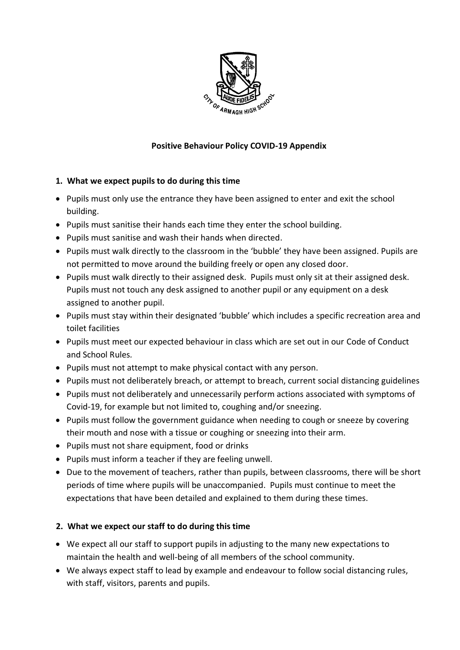

# **Positive Behaviour Policy COVID-19 Appendix**

## **1. What we expect pupils to do during this time**

- Pupils must only use the entrance they have been assigned to enter and exit the school building.
- Pupils must sanitise their hands each time they enter the school building.
- Pupils must sanitise and wash their hands when directed.
- Pupils must walk directly to the classroom in the 'bubble' they have been assigned. Pupils are not permitted to move around the building freely or open any closed door.
- Pupils must walk directly to their assigned desk. Pupils must only sit at their assigned desk. Pupils must not touch any desk assigned to another pupil or any equipment on a desk assigned to another pupil.
- Pupils must stay within their designated 'bubble' which includes a specific recreation area and toilet facilities
- Pupils must meet our expected behaviour in class which are set out in our Code of Conduct and School Rules*.*
- Pupils must not attempt to make physical contact with any person.
- Pupils must not deliberately breach, or attempt to breach, current social distancing guidelines
- Pupils must not deliberately and unnecessarily perform actions associated with symptoms of Covid-19, for example but not limited to, coughing and/or sneezing.
- Pupils must follow the government guidance when needing to cough or sneeze by covering their mouth and nose with a tissue or coughing or sneezing into their arm.
- Pupils must not share equipment, food or drinks
- Pupils must inform a teacher if they are feeling unwell.
- Due to the movement of teachers, rather than pupils, between classrooms, there will be short periods of time where pupils will be unaccompanied. Pupils must continue to meet the expectations that have been detailed and explained to them during these times.

### **2. What we expect our staff to do during this time**

- We expect all our staff to support pupils in adjusting to the many new expectations to maintain the health and well-being of all members of the school community.
- We always expect staff to lead by example and endeavour to follow social distancing rules, with staff, visitors, parents and pupils.